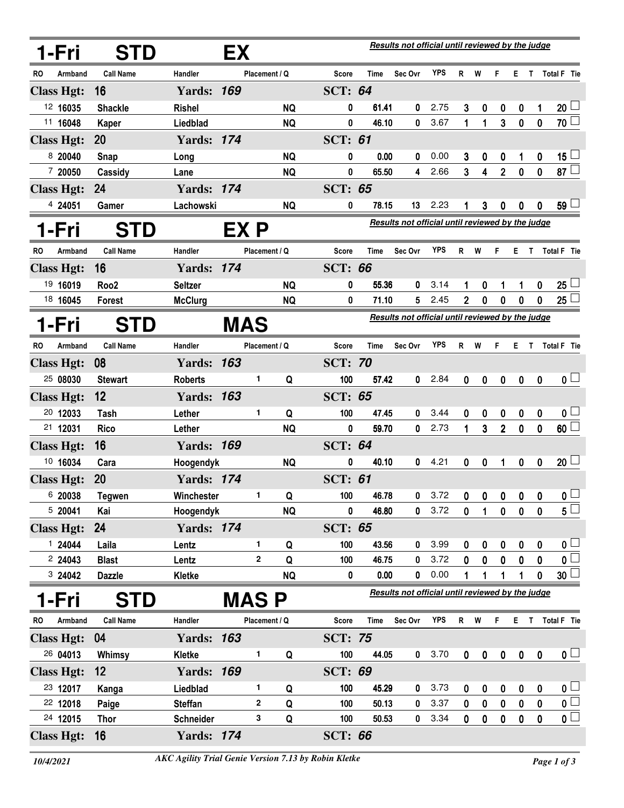|    | 1-Fri             | <b>STD</b>       |                   | EХ          |               |           |                | Results not official until reviewed by the judge |                                                  |            |             |             |                |                  |                  |                         |
|----|-------------------|------------------|-------------------|-------------|---------------|-----------|----------------|--------------------------------------------------|--------------------------------------------------|------------|-------------|-------------|----------------|------------------|------------------|-------------------------|
| RO | Armband           | <b>Call Name</b> | Handler           |             | Placement / Q |           | <b>Score</b>   | Time                                             | Sec Ovr                                          | <b>YPS</b> | R           | W           | F              | E.               | T                | Total F Tie             |
|    | <b>Class Hgt:</b> | 16               | <b>Yards: 169</b> |             |               |           | <b>SCT: 64</b> |                                                  |                                                  |            |             |             |                |                  |                  |                         |
|    | 12 16035          | <b>Shackle</b>   | <b>Rishel</b>     |             |               | <b>NQ</b> | 0              | 61.41                                            | 0                                                | 2.75       | 3           | 0           | 0              | $\bf{0}$         | 1                | 20 <sup>1</sup>         |
|    | 11 16048          | Kaper            | Liedblad          |             |               | <b>NQ</b> | 0              | 46.10                                            | 0                                                | 3.67       | 1           | 1           | 3              | $\mathbf 0$      | $\boldsymbol{0}$ | 70 $\Box$               |
|    | <b>Class Hgt:</b> | <b>20</b>        | <b>Yards: 174</b> |             |               |           | <b>SCT: 61</b> |                                                  |                                                  |            |             |             |                |                  |                  |                         |
|    | 8 20040           | Snap             | Long              |             |               | <b>NQ</b> | 0              | 0.00                                             | 0                                                | 0.00       | 3           | 0           | 0              | 1                | $\boldsymbol{0}$ | $15 -$                  |
|    | 7 20050           | Cassidy          | Lane              |             |               | <b>NQ</b> | 0              | 65.50                                            | 4                                                | 2.66       | 3           | 4           | $\overline{2}$ | $\bf{0}$         | $\bf{0}$         | 87 $\Box$               |
|    | <b>Class Hgt:</b> | 24               | <b>Yards: 174</b> |             |               |           | <b>SCT: 65</b> |                                                  |                                                  |            |             |             |                |                  |                  |                         |
|    | 4 24051           | Gamer            | Lachowski         |             |               | <b>NQ</b> | 0              | 78.15                                            | 13                                               | 2.23       |             | 3           | 0              | 0                | 0                | 59 L                    |
|    | 1-Fri             | <b>STD</b>       |                   | EX P        |               |           |                |                                                  | Results not official until reviewed by the judge |            |             |             |                |                  |                  |                         |
| RO | Armband           | <b>Call Name</b> | Handler           |             | Placement / Q |           | <b>Score</b>   | <b>Time</b>                                      | Sec Ovr                                          | <b>YPS</b> | R           | W           | F              | E.               | T                | <b>Total F</b> Tie      |
|    | <b>Class Hgt:</b> | 16               | <b>Yards: 174</b> |             |               |           | <b>SCT: 66</b> |                                                  |                                                  |            |             |             |                |                  |                  |                         |
|    | 19 16019          | Roo <sub>2</sub> | <b>Seltzer</b>    |             |               | <b>NQ</b> | 0              | 55.36                                            | 0                                                | 3.14       | 1           | 0           | 1              | 1                | 0                | $25 -$                  |
|    | 18 16045          | Forest           | <b>McClurg</b>    |             |               | <b>NQ</b> | 0              | 71.10                                            | 5                                                | 2.45       | 2           | 0           | 0              | $\mathbf{0}$     | 0                | $25\perp$               |
|    | 1-Fri             | <b>STD</b>       |                   | <b>MAS</b>  |               |           |                |                                                  | Results not official until reviewed by the judge |            |             |             |                |                  |                  |                         |
| RO | Armband           | <b>Call Name</b> | Handler           |             | Placement / Q |           | <b>Score</b>   | <b>Time</b>                                      | Sec Ovr                                          | <b>YPS</b> | R           | W           | F              | E.               | T                | Total F Tie             |
|    | <b>Class Hgt:</b> | 08               | <b>Yards: 163</b> |             |               |           | <b>SCT: 70</b> |                                                  |                                                  |            |             |             |                |                  |                  |                         |
|    | 25 08030          | <b>Stewart</b>   | <b>Roberts</b>    |             | 1.            | Q         | 100            | 57.42                                            | 0                                                | 2.84       | 0           | 0           | 0              | $\boldsymbol{0}$ | $\bf{0}$         | 0 <sub>1</sub>          |
|    | <b>Class Hgt:</b> | 12               | <b>Yards: 163</b> |             |               |           | <b>SCT: 65</b> |                                                  |                                                  |            |             |             |                |                  |                  |                         |
|    | 20 12033          | Tash             | Lether            |             | 1.            | Q         | 100            | 47.45                                            | 0                                                | 3.44       | 0           | 0           | 0              | 0                | $\bf{0}$         | 0 <sub>1</sub>          |
|    | 21 12031          | <b>Rico</b>      | Lether            |             |               | <b>NQ</b> | 0              | 59.70                                            | 0                                                | 2.73       | 1           | 3           | $\overline{2}$ | $\mathbf{0}$     | $\mathbf{0}$     | 60 <sup>1</sup>         |
|    | <b>Class Hgt:</b> | 16               | <b>Yards: 169</b> |             |               |           | <b>SCT: 64</b> |                                                  |                                                  |            |             |             |                |                  |                  |                         |
|    | 10 16034          | Cara             | Hoogendyk         |             |               | <b>NQ</b> | 0              | 40.10                                            | 0                                                | 4.21       | 0           | 0           | 1              | 0                | $\mathbf 0$      | $20 \Box$               |
|    | <b>Class Hgt:</b> | 20               | <b>Yards: 174</b> |             |               |           | <b>SCT: 61</b> |                                                  |                                                  |            |             |             |                |                  |                  |                         |
|    | 6 20038           | <b>Tegwen</b>    | Winchester        |             | 1             | Q         | 100            | 46.78                                            |                                                  | 3.72       |             | 0           | 0              | 0                | 0                | $\mathbf{0} \sqcup$     |
|    | 5 20041           | Kai              | Hoogendyk         |             |               | <b>NQ</b> | 0              | 46.80                                            | 0                                                | 3.72       | 0           | 1           | $\mathbf 0$    | $\mathbf 0$      | 0                | $5^{\square}$           |
|    | <b>Class Hgt:</b> | 24               | <b>Yards: 174</b> |             |               |           | <b>SCT: 65</b> |                                                  |                                                  |            |             |             |                |                  |                  |                         |
|    | 1 24044           | Laila            | Lentz             |             | 1             | Q         | 100            | 43.56                                            | 0                                                | 3.99       | 0           | 0           | 0              | 0                | 0                | $\mathbf{0}$ $\Box$     |
|    | 224043            | <b>Blast</b>     | Lentz             |             | 2             | Q         | 100            | 46.75                                            | 0                                                | 3.72       | 0           | 0           | 0              | 0                | 0                | $\overline{\mathsf{O}}$ |
|    | 3 24042           | <b>Dazzle</b>    | Kletke            |             |               | <b>NQ</b> | 0              | 0.00                                             | 0                                                | 0.00       |             | 1           |                |                  | 0                | $30\perp$               |
|    | 1-Fri             | <b>STD</b>       |                   | <b>MASP</b> |               |           |                |                                                  | Results not official until reviewed by the judge |            |             |             |                |                  |                  |                         |
| RO | Armband           | <b>Call Name</b> | Handler           |             | Placement / Q |           | <b>Score</b>   | Time                                             | Sec Ovr                                          | YPS        | R W         |             | F.             |                  |                  | E T Total F Tie         |
|    | <b>Class Hgt:</b> | 04               | <b>Yards: 163</b> |             |               |           | <b>SCT: 75</b> |                                                  |                                                  |            |             |             |                |                  |                  |                         |
|    | 26 04013          | Whimsy           | Kletke            |             | 1.            | Q         | 100            | 44.05                                            | 0                                                | 3.70       | $\mathbf 0$ | $\mathbf 0$ | $\pmb{0}$      | $\pmb{0}$        | $\boldsymbol{0}$ | $\mathbf{0}$ $\Box$     |
|    | <b>Class Hgt:</b> | 12               | <b>Yards: 169</b> |             |               |           | <b>SCT: 69</b> |                                                  |                                                  |            |             |             |                |                  |                  |                         |
|    | 23 12017          | Kanga            | Liedblad          |             | 1             | Q         | 100            | 45.29                                            | 0                                                | 3.73       | 0           | 0           | 0              | $\boldsymbol{0}$ | $\boldsymbol{0}$ | $\mathbf{0}$            |
|    | 22 12018          | Paige            | <b>Steffan</b>    |             | 2             | Q         | 100            | 50.13                                            | 0                                                | 3.37       | $\mathbf 0$ | $\mathbf 0$ | $\pmb{0}$      | $\pmb{0}$        | $\pmb{0}$        | $\overline{\mathbf{0}}$ |
|    | 24 12015          | <b>Thor</b>      | Schneider         |             | 3             | Q         | 100            | 50.53                                            | 0                                                | 3.34       | $\mathbf 0$ | 0           | $\pmb{0}$      | $\pmb{0}$        | $\pmb{0}$        | $\overline{\mathbf{0}}$ |
|    | <b>Class Hgt:</b> | 16               | <b>Yards: 174</b> |             |               |           | <b>SCT: 66</b> |                                                  |                                                  |            |             |             |                |                  |                  |                         |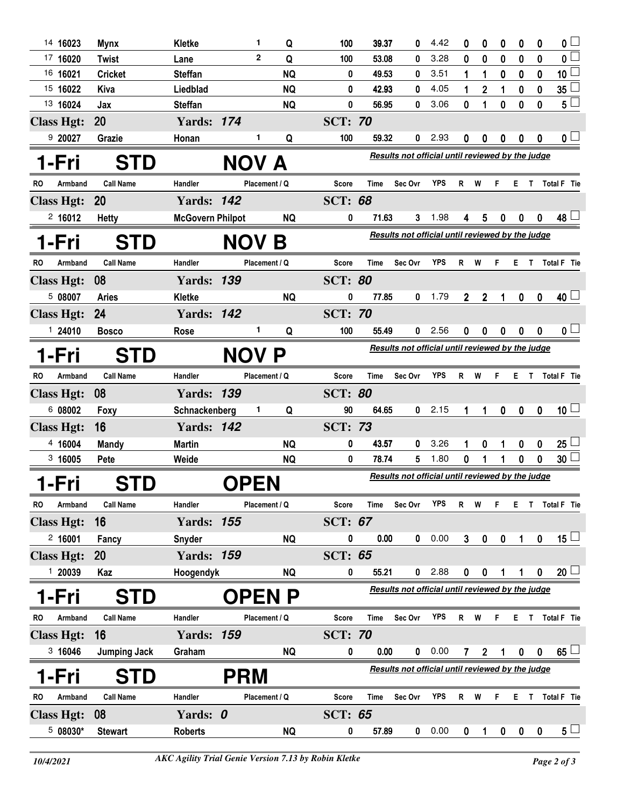| 14 16023          | <b>Mynx</b>         | Kletke                  | 1             | Q            | 100            | 39.37                                            | 0                                                | 4.42       | 0              | 0              | 0           | 0                | 0            | $\mathbf{0}$             |  |
|-------------------|---------------------|-------------------------|---------------|--------------|----------------|--------------------------------------------------|--------------------------------------------------|------------|----------------|----------------|-------------|------------------|--------------|--------------------------|--|
| 17 16020          | <b>Twist</b>        | Lane                    | $\mathbf{2}$  | Q            | 100            | 53.08                                            | 0                                                | 3.28       | 0              | 0              | 0           | 0                | 0            | $\overline{0}$           |  |
| 16 16021          | <b>Cricket</b>      | <b>Steffan</b>          |               | <b>NQ</b>    | 0              | 49.53                                            | 0                                                | 3.51       | 1              | 1              | 0           | $\boldsymbol{0}$ | 0            | $\overline{\mathbf{10}}$ |  |
| 15 16022          | Kiva                | Liedblad                |               | <b>NQ</b>    | 0              | 42.93                                            | 0                                                | 4.05       | 1              | $\mathbf 2$    | 1           | $\boldsymbol{0}$ | $\bf{0}$     | $35\Box$                 |  |
| 13 16024          | Jax                 | <b>Steffan</b>          |               | <b>NQ</b>    | 0              | 56.95                                            | 0                                                | 3.06       | 0              | 1              | 0           | 0                | 0            | $5\Box$                  |  |
| <b>Class Hgt:</b> | 20                  | <b>Yards: 174</b>       |               |              | <b>SCT: 70</b> |                                                  |                                                  |            |                |                |             |                  |              |                          |  |
| 9 20027           | Grazie              | Honan                   | 1             | Q            | 100            | 59.32                                            | 0                                                | 2.93       | 0              | 0              | 0           | 0                | 0            | 0 <sub>1</sub>           |  |
| 1-Fri             | <b>STD</b>          |                         | <b>NOV</b>    | $\mathbf{A}$ |                |                                                  | Results not official until reviewed by the judge |            |                |                |             |                  |              |                          |  |
| RO<br>Armband     | <b>Call Name</b>    | Handler                 | Placement / Q |              | <b>Score</b>   | Time                                             | Sec Ovr                                          | YPS        | R.             | W              | F           | E.               | T            | Total F Tie              |  |
| <b>Class Hgt:</b> | <b>20</b>           | <b>Yards: 142</b>       |               |              | <b>SCT: 68</b> |                                                  |                                                  |            |                |                |             |                  |              |                          |  |
| 2,16012           | <b>Hetty</b>        | <b>McGovern Philpot</b> |               | <b>NQ</b>    | 0              | 71.63                                            | 3                                                | 1.98       | 4              | 5              | 0           | 0                | $\mathbf{0}$ | $48\perp$                |  |
| 1-Fri             | <b>STD</b>          |                         | <b>NOV B</b>  |              |                |                                                  | Results not official until reviewed by the judge |            |                |                |             |                  |              |                          |  |
| Armband<br>RO     | <b>Call Name</b>    | Handler                 | Placement / Q |              | <b>Score</b>   | <b>Time</b>                                      | Sec Ovr                                          | <b>YPS</b> | R              | W              | F           | E.               | T.           | Total F Tie              |  |
| <b>Class Hgt:</b> | 08                  | <b>Yards: 139</b>       |               |              | <b>SCT: 80</b> |                                                  |                                                  |            |                |                |             |                  |              |                          |  |
| 508007            | <b>Aries</b>        | Kletke                  |               | <b>NQ</b>    | 0              | 77.85                                            | 0                                                | 1.79       | $\overline{2}$ | $\mathbf 2$    |             | $\mathbf 0$      | $\mathbf 0$  | 40 <sup>1</sup>          |  |
| <b>Class Hgt:</b> | 24                  | <b>Yards: 142</b>       |               |              | <b>SCT: 70</b> |                                                  |                                                  |            |                |                |             |                  |              |                          |  |
| 124010            | <b>Bosco</b>        | Rose                    | 1             | Q            | 100            | 55.49                                            | 0                                                | 2.56       | 0              | 0              | 0           | 0                | $\mathbf 0$  | $\mathbf{0}$             |  |
| 1-Fri             | <b>STD</b>          |                         | <b>NOV P</b>  |              |                |                                                  | Results not official until reviewed by the judge |            |                |                |             |                  |              |                          |  |
| Armband<br>RO     | <b>Call Name</b>    | Handler                 | Placement / Q |              | Score          | Time                                             | Sec Ovr                                          | <b>YPS</b> | $\mathsf{R}$   | W              | F.          |                  |              | E T Total F Tie          |  |
| <b>Class Hgt:</b> | 08                  | <b>Yards: 139</b>       |               |              | <b>SCT: 80</b> |                                                  |                                                  |            |                |                |             |                  |              |                          |  |
| 6 08002           | Foxy                | Schnackenberg           | 1.            | Q            | 90             | 64.65                                            | 0                                                | 2.15       | 1              | 1              | $\mathbf 0$ | $\boldsymbol{0}$ | $\bf{0}$     | 10 <sup>1</sup>          |  |
| <b>Class Hgt:</b> | 16                  | <b>Yards: 142</b>       |               |              | <b>SCT: 73</b> |                                                  |                                                  |            |                |                |             |                  |              |                          |  |
| 4 16004           | <b>Mandy</b>        | <b>Martin</b>           |               | <b>NQ</b>    | 0              | 43.57                                            | 0                                                | 3.26       |                | 0              |             | 0                | 0            | 25 <sup>1</sup>          |  |
| 3,16005           | Pete                | Weide                   |               | <b>NQ</b>    | 0              | 78.74                                            | 5                                                | 1.80       | 0              |                |             | 0                | 0            | $30\perp$                |  |
| 1-Fri             |                     |                         | <b>OPEN</b>   |              |                | Results not official until reviewed by the judge |                                                  |            |                |                |             |                  |              |                          |  |
| Armband<br>RO     | <b>Call Name</b>    | Handler                 | Placement / Q |              | <b>Score</b>   | Time                                             | Sec Ovr                                          | <b>YPS</b> | $\mathsf{R}$   | W              | F.          | Е.               |              | T Total F Tie            |  |
| <b>Class Hgt:</b> | 16                  | <b>Yards: 155</b>       |               |              | <b>SCT: 67</b> |                                                  |                                                  |            |                |                |             |                  |              |                          |  |
| 2,16001           | Fancy               | Snyder                  |               | <b>NQ</b>    | 0              | $0.00\,$                                         | 0                                                | 0.00       | $\mathbf{3}$   | $\pmb{0}$      | $\pmb{0}$   | 1                | $\mathbf 0$  | $15 \Box$                |  |
| <b>Class Hgt:</b> | <b>20</b>           | <b>Yards: 159</b>       |               |              | <b>SCT: 65</b> |                                                  |                                                  |            |                |                |             |                  |              |                          |  |
| 1 20039           | Kaz                 | Hoogendyk               |               | <b>NQ</b>    | 0              | 55.21                                            | 0                                                | 2.88       | 0              | 0              |             |                  | 0            | 20 <sup>1</sup>          |  |
| 1-Fri             | <b>STD</b>          |                         | <b>OPENP</b>  |              |                |                                                  | Results not official until reviewed by the judge |            |                |                |             |                  |              |                          |  |
| Armband<br>RO     | <b>Call Name</b>    | Handler                 | Placement / Q |              | <b>Score</b>   | Time                                             | Sec Ovr                                          | <b>YPS</b> | $R$ W          |                | F.          | Е.               |              | T Total F Tie            |  |
| <b>Class Hgt:</b> | 16                  | <b>Yards: 159</b>       |               |              | <b>SCT: 70</b> |                                                  |                                                  |            |                |                |             |                  |              |                          |  |
| 3 16046           | <b>Jumping Jack</b> | Graham                  |               | <b>NQ</b>    | 0              | 0.00                                             | 0                                                | 0.00       | $\mathbf{7}$   | $\overline{2}$ | 1           | $\boldsymbol{0}$ | 0            | $65^{\degree}$           |  |
| l-Fri             |                     |                         | <b>PRM</b>    |              |                |                                                  | Results not official until reviewed by the judge |            |                |                |             |                  |              |                          |  |
|                   | <b>STD</b>          |                         |               |              |                |                                                  |                                                  |            |                |                |             |                  |              |                          |  |
| Armband<br>RO     | <b>Call Name</b>    | Handler                 | Placement / Q |              | <b>Score</b>   | Time                                             | Sec Ovr                                          | <b>YPS</b> | $\mathsf{R}$   | W              | F           | E.               |              | T Total F Tie            |  |
| <b>Class Hgt:</b> | 08                  | Yards: 0                |               |              | <b>SCT: 65</b> |                                                  |                                                  |            |                |                |             |                  |              |                          |  |